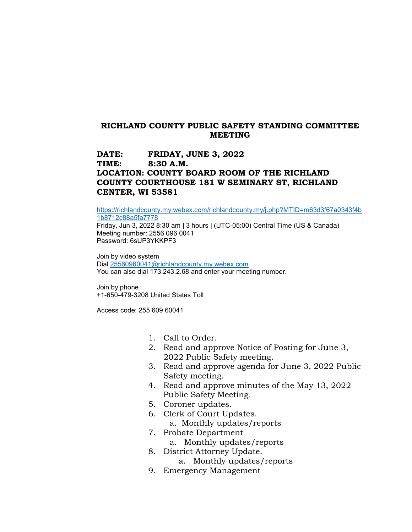## **RICHLAND COUNTY PUBLIC SAFETY STANDING COMMITTEE MEETING**

## **DATE: FRIDAY, JUNE 3, 2022 TIME: 8:30 A.M. LOCATION: COUNTY BOARD ROOM OF THE RICHLAND COUNTY COURTHOUSE 181 W SEMINARY ST, RICHLAND CENTER, WI 53581**

[https://richlandcounty.my.webex.com/richlandcounty.my/j.php?MTID=m63d3f67a0343f4b](https://richlandcounty.my.webex.com/richlandcounty.my/j.php?MTID=m63d3f67a0343f4b1b8712c88a5fa7778) [1b8712c88a5fa7778](https://richlandcounty.my.webex.com/richlandcounty.my/j.php?MTID=m63d3f67a0343f4b1b8712c88a5fa7778)

Friday, Jun 3, 2022 8:30 am | 3 hours | (UTC-05:00) Central Time (US & Canada) Meeting number: 2556 096 0041 Password: 6sUP3YKKPF3

Join by video system Dial [25560960041@richlandcounty.my.webex.com](mailto:25560960041@richlandcounty.my.webex.com) You can also dial 173.243.2.68 and enter your meeting number.

Join by phone +1-650-479-3208 United States Toll

Access code: 255 609 60041

- 1. Call to Order.
- 2. Read and approve Notice of Posting for June 3, 2022 Public Safety meeting.
- 3. Read and approve agenda for June 3, 2022 Public Safety meeting.
- 4. Read and approve minutes of the May 13, 2022 Public Safety Meeting.
- 5. Coroner updates.
- 6. Clerk of Court Updates. a. Monthly updates/reports
- 7. Probate Department
	- a. Monthly updates/reports
- 8. District Attorney Update.
	- a. Monthly updates/reports
- 9. Emergency Management